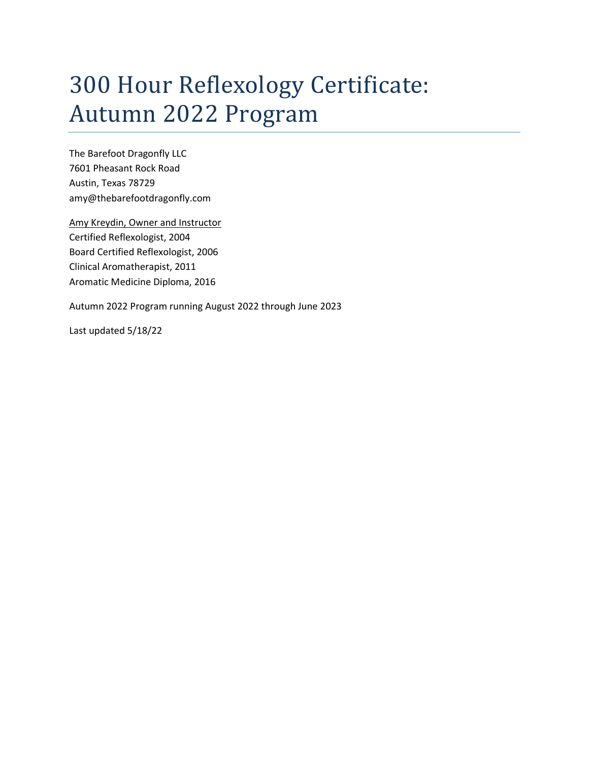# 300 Hour Reflexology Certificate: Autumn 2022 Program

The Barefoot Dragonfly LLC 7601 Pheasant Rock Road Austin, Texas 78729 amy@thebarefootdragonfly.com

Amy Kreydin, Owner and Instructor Certified Reflexologist, 2004 Board Certified Reflexologist, 2006 Clinical Aromatherapist, 2011 Aromatic Medicine Diploma, 2016

Autumn 2022 Program running August 2022 through June 2023

Last updated 5/18/22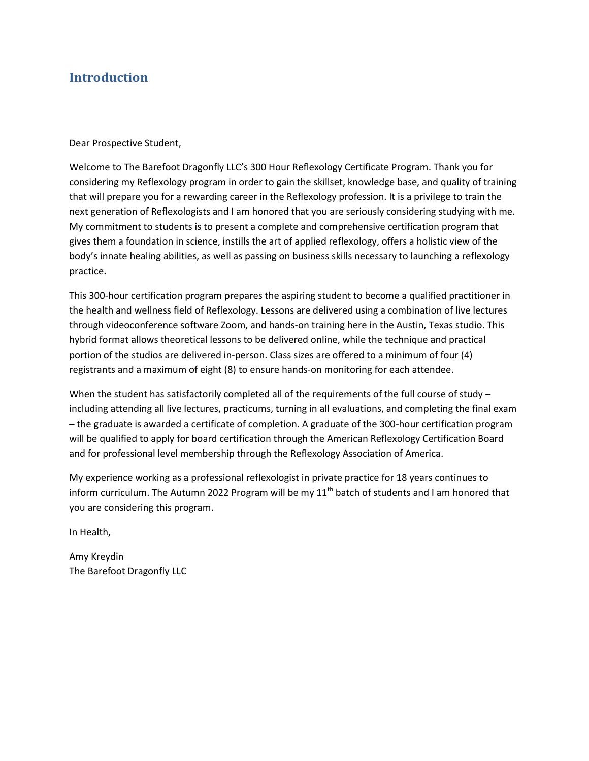# Introduction

Dear Prospective Student,

Welcome to The Barefoot Dragonfly LLC's 300 Hour Reflexology Certificate Program. Thank you for considering my Reflexology program in order to gain the skillset, knowledge base, and quality of training that will prepare you for a rewarding career in the Reflexology profession. It is a privilege to train the next generation of Reflexologists and I am honored that you are seriously considering studying with me. My commitment to students is to present a complete and comprehensive certification program that gives them a foundation in science, instills the art of applied reflexology, offers a holistic view of the body's innate healing abilities, as well as passing on business skills necessary to launching a reflexology practice.

This 300-hour certification program prepares the aspiring student to become a qualified practitioner in the health and wellness field of Reflexology. Lessons are delivered using a combination of live lectures through videoconference software Zoom, and hands-on training here in the Austin, Texas studio. This hybrid format allows theoretical lessons to be delivered online, while the technique and practical portion of the studios are delivered in-person. Class sizes are offered to a minimum of four (4) registrants and a maximum of eight (8) to ensure hands-on monitoring for each attendee.

When the student has satisfactorily completed all of the requirements of the full course of study including attending all live lectures, practicums, turning in all evaluations, and completing the final exam – the graduate is awarded a certificate of completion. A graduate of the 300-hour certification program will be qualified to apply for board certification through the American Reflexology Certification Board and for professional level membership through the Reflexology Association of America.

My experience working as a professional reflexologist in private practice for 18 years continues to inform curriculum. The Autumn 2022 Program will be my  $11<sup>th</sup>$  batch of students and I am honored that you are considering this program.

In Health,

Amy Kreydin The Barefoot Dragonfly LLC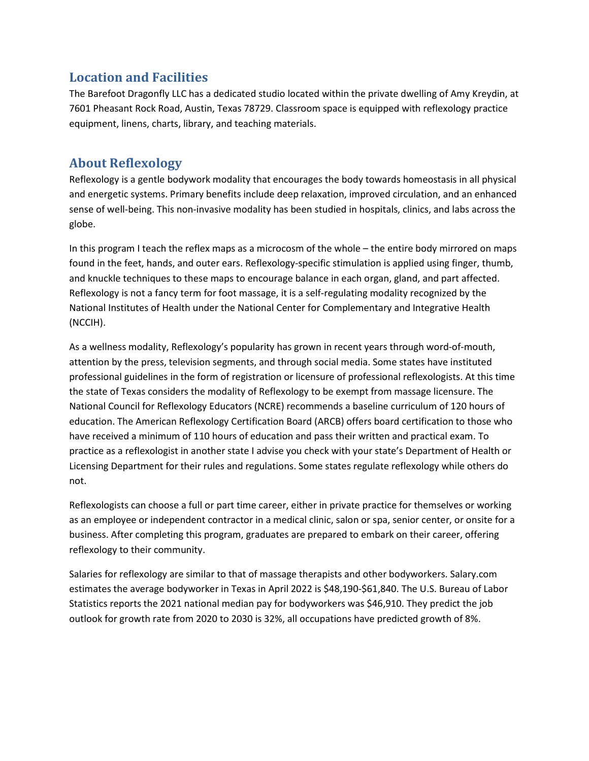# Location and Facilities

The Barefoot Dragonfly LLC has a dedicated studio located within the private dwelling of Amy Kreydin, at 7601 Pheasant Rock Road, Austin, Texas 78729. Classroom space is equipped with reflexology practice equipment, linens, charts, library, and teaching materials.

# About Reflexology

Reflexology is a gentle bodywork modality that encourages the body towards homeostasis in all physical and energetic systems. Primary benefits include deep relaxation, improved circulation, and an enhanced sense of well-being. This non-invasive modality has been studied in hospitals, clinics, and labs across the globe.

In this program I teach the reflex maps as a microcosm of the whole – the entire body mirrored on maps found in the feet, hands, and outer ears. Reflexology-specific stimulation is applied using finger, thumb, and knuckle techniques to these maps to encourage balance in each organ, gland, and part affected. Reflexology is not a fancy term for foot massage, it is a self-regulating modality recognized by the National Institutes of Health under the National Center for Complementary and Integrative Health (NCCIH).

As a wellness modality, Reflexology's popularity has grown in recent years through word-of-mouth, attention by the press, television segments, and through social media. Some states have instituted professional guidelines in the form of registration or licensure of professional reflexologists. At this time the state of Texas considers the modality of Reflexology to be exempt from massage licensure. The National Council for Reflexology Educators (NCRE) recommends a baseline curriculum of 120 hours of education. The American Reflexology Certification Board (ARCB) offers board certification to those who have received a minimum of 110 hours of education and pass their written and practical exam. To practice as a reflexologist in another state I advise you check with your state's Department of Health or Licensing Department for their rules and regulations. Some states regulate reflexology while others do not.

Reflexologists can choose a full or part time career, either in private practice for themselves or working as an employee or independent contractor in a medical clinic, salon or spa, senior center, or onsite for a business. After completing this program, graduates are prepared to embark on their career, offering reflexology to their community.

Salaries for reflexology are similar to that of massage therapists and other bodyworkers. Salary.com estimates the average bodyworker in Texas in April 2022 is \$48,190-\$61,840. The U.S. Bureau of Labor Statistics reports the 2021 national median pay for bodyworkers was \$46,910. They predict the job outlook for growth rate from 2020 to 2030 is 32%, all occupations have predicted growth of 8%.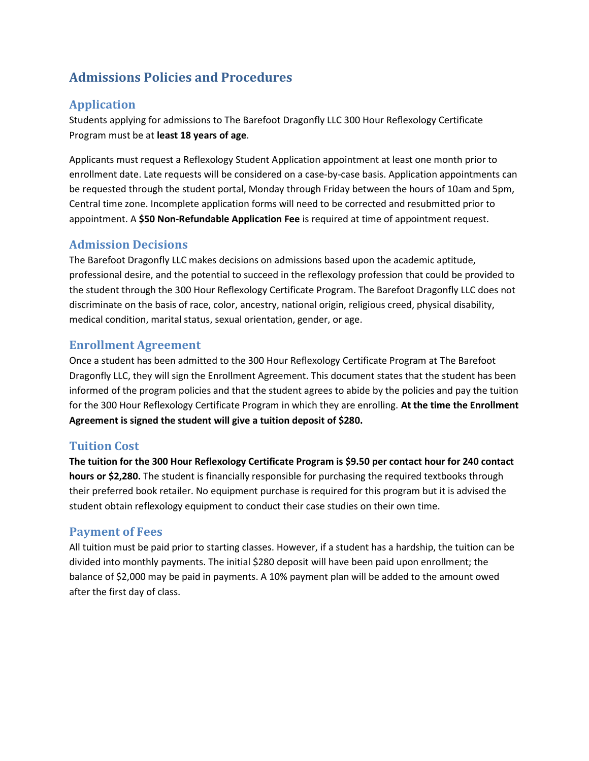# Admissions Policies and Procedures

# Application

Students applying for admissions to The Barefoot Dragonfly LLC 300 Hour Reflexology Certificate Program must be at least 18 years of age.

Applicants must request a Reflexology Student Application appointment at least one month prior to enrollment date. Late requests will be considered on a case-by-case basis. Application appointments can be requested through the student portal, Monday through Friday between the hours of 10am and 5pm, Central time zone. Incomplete application forms will need to be corrected and resubmitted prior to appointment. A \$50 Non-Refundable Application Fee is required at time of appointment request.

## Admission Decisions

The Barefoot Dragonfly LLC makes decisions on admissions based upon the academic aptitude, professional desire, and the potential to succeed in the reflexology profession that could be provided to the student through the 300 Hour Reflexology Certificate Program. The Barefoot Dragonfly LLC does not discriminate on the basis of race, color, ancestry, national origin, religious creed, physical disability, medical condition, marital status, sexual orientation, gender, or age.

### Enrollment Agreement

Once a student has been admitted to the 300 Hour Reflexology Certificate Program at The Barefoot Dragonfly LLC, they will sign the Enrollment Agreement. This document states that the student has been informed of the program policies and that the student agrees to abide by the policies and pay the tuition for the 300 Hour Reflexology Certificate Program in which they are enrolling. At the time the Enrollment Agreement is signed the student will give a tuition deposit of \$280.

### Tuition Cost

The tuition for the 300 Hour Reflexology Certificate Program is \$9.50 per contact hour for 240 contact hours or \$2,280. The student is financially responsible for purchasing the required textbooks through their preferred book retailer. No equipment purchase is required for this program but it is advised the student obtain reflexology equipment to conduct their case studies on their own time.

### Payment of Fees

All tuition must be paid prior to starting classes. However, if a student has a hardship, the tuition can be divided into monthly payments. The initial \$280 deposit will have been paid upon enrollment; the balance of \$2,000 may be paid in payments. A 10% payment plan will be added to the amount owed after the first day of class.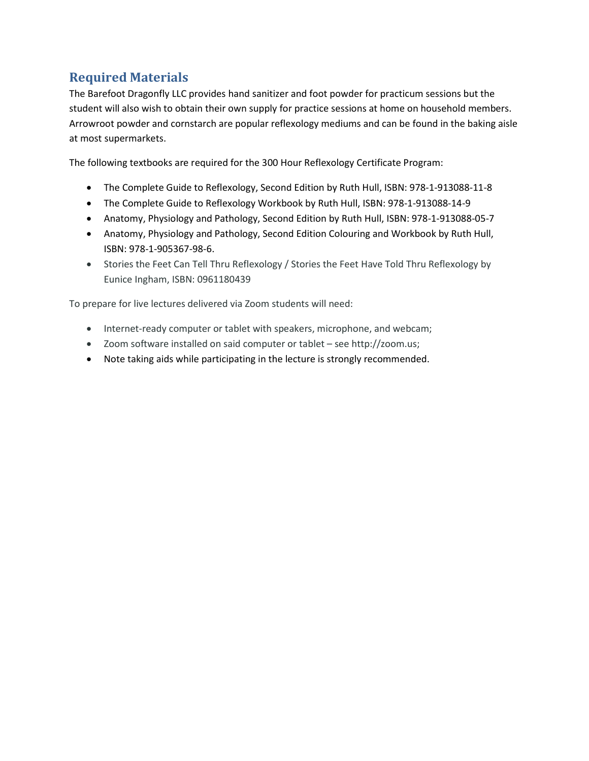# Required Materials

The Barefoot Dragonfly LLC provides hand sanitizer and foot powder for practicum sessions but the student will also wish to obtain their own supply for practice sessions at home on household members. Arrowroot powder and cornstarch are popular reflexology mediums and can be found in the baking aisle at most supermarkets.

The following textbooks are required for the 300 Hour Reflexology Certificate Program:

- The Complete Guide to Reflexology, Second Edition by Ruth Hull, ISBN: 978-1-913088-11-8
- The Complete Guide to Reflexology Workbook by Ruth Hull, ISBN: 978-1-913088-14-9
- Anatomy, Physiology and Pathology, Second Edition by Ruth Hull, ISBN: 978-1-913088-05-7
- Anatomy, Physiology and Pathology, Second Edition Colouring and Workbook by Ruth Hull, ISBN: 978-1-905367-98-6.
- Stories the Feet Can Tell Thru Reflexology / Stories the Feet Have Told Thru Reflexology by Eunice Ingham, ISBN: 0961180439

To prepare for live lectures delivered via Zoom students will need:

- Internet-ready computer or tablet with speakers, microphone, and webcam;
- Zoom software installed on said computer or tablet see http://zoom.us;
- Note taking aids while participating in the lecture is strongly recommended.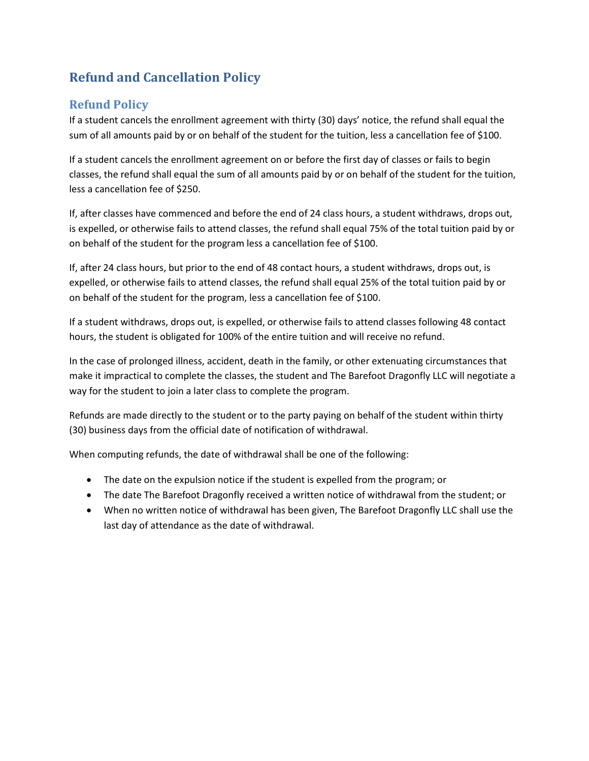# Refund and Cancellation Policy

# Refund Policy

If a student cancels the enrollment agreement with thirty (30) days' notice, the refund shall equal the sum of all amounts paid by or on behalf of the student for the tuition, less a cancellation fee of \$100.

If a student cancels the enrollment agreement on or before the first day of classes or fails to begin classes, the refund shall equal the sum of all amounts paid by or on behalf of the student for the tuition, less a cancellation fee of \$250.

If, after classes have commenced and before the end of 24 class hours, a student withdraws, drops out, is expelled, or otherwise fails to attend classes, the refund shall equal 75% of the total tuition paid by or on behalf of the student for the program less a cancellation fee of \$100.

If, after 24 class hours, but prior to the end of 48 contact hours, a student withdraws, drops out, is expelled, or otherwise fails to attend classes, the refund shall equal 25% of the total tuition paid by or on behalf of the student for the program, less a cancellation fee of \$100.

If a student withdraws, drops out, is expelled, or otherwise fails to attend classes following 48 contact hours, the student is obligated for 100% of the entire tuition and will receive no refund.

In the case of prolonged illness, accident, death in the family, or other extenuating circumstances that make it impractical to complete the classes, the student and The Barefoot Dragonfly LLC will negotiate a way for the student to join a later class to complete the program.

Refunds are made directly to the student or to the party paying on behalf of the student within thirty (30) business days from the official date of notification of withdrawal.

When computing refunds, the date of withdrawal shall be one of the following:

- The date on the expulsion notice if the student is expelled from the program; or
- The date The Barefoot Dragonfly received a written notice of withdrawal from the student; or
- When no written notice of withdrawal has been given, The Barefoot Dragonfly LLC shall use the last day of attendance as the date of withdrawal.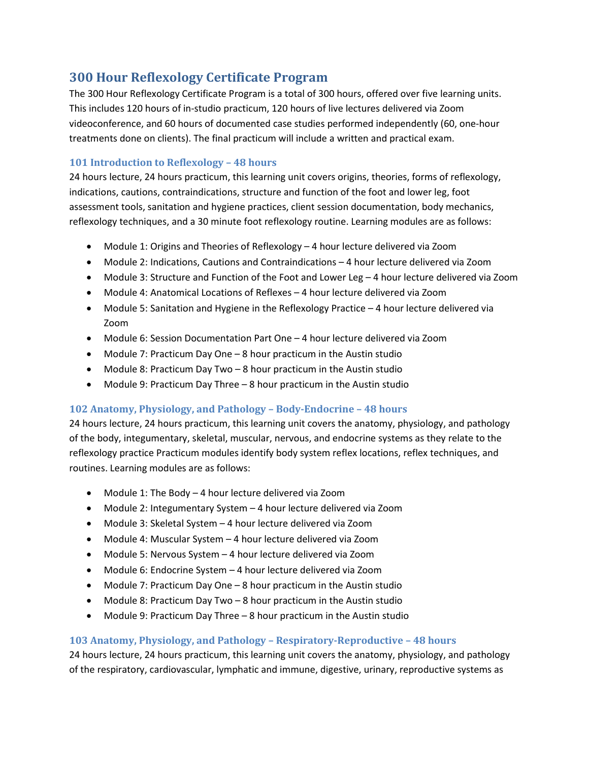# 300 Hour Reflexology Certificate Program

The 300 Hour Reflexology Certificate Program is a total of 300 hours, offered over five learning units. This includes 120 hours of in-studio practicum, 120 hours of live lectures delivered via Zoom videoconference, and 60 hours of documented case studies performed independently (60, one-hour treatments done on clients). The final practicum will include a written and practical exam.

#### 101 Introduction to Reflexology – 48 hours

24 hours lecture, 24 hours practicum, this learning unit covers origins, theories, forms of reflexology, indications, cautions, contraindications, structure and function of the foot and lower leg, foot assessment tools, sanitation and hygiene practices, client session documentation, body mechanics, reflexology techniques, and a 30 minute foot reflexology routine. Learning modules are as follows:

- Module 1: Origins and Theories of Reflexology 4 hour lecture delivered via Zoom
- Module 2: Indications, Cautions and Contraindications 4 hour lecture delivered via Zoom
- Module 3: Structure and Function of the Foot and Lower Leg 4 hour lecture delivered via Zoom
- Module 4: Anatomical Locations of Reflexes 4 hour lecture delivered via Zoom
- Module 5: Sanitation and Hygiene in the Reflexology Practice 4 hour lecture delivered via Zoom
- Module 6: Session Documentation Part One 4 hour lecture delivered via Zoom
- Module 7: Practicum Day One 8 hour practicum in the Austin studio
- Module 8: Practicum Day Two 8 hour practicum in the Austin studio
- Module 9: Practicum Day Three 8 hour practicum in the Austin studio

### 102 Anatomy, Physiology, and Pathology – Body-Endocrine – 48 hours

24 hours lecture, 24 hours practicum, this learning unit covers the anatomy, physiology, and pathology of the body, integumentary, skeletal, muscular, nervous, and endocrine systems as they relate to the reflexology practice Practicum modules identify body system reflex locations, reflex techniques, and routines. Learning modules are as follows:

- Module 1: The Body 4 hour lecture delivered via Zoom
- Module 2: Integumentary System 4 hour lecture delivered via Zoom
- Module 3: Skeletal System 4 hour lecture delivered via Zoom
- Module 4: Muscular System 4 hour lecture delivered via Zoom
- Module 5: Nervous System 4 hour lecture delivered via Zoom
- Module 6: Endocrine System 4 hour lecture delivered via Zoom
- Module 7: Practicum Day One 8 hour practicum in the Austin studio
- Module 8: Practicum Day Two 8 hour practicum in the Austin studio
- Module 9: Practicum Day Three 8 hour practicum in the Austin studio

### 103 Anatomy, Physiology, and Pathology – Respiratory-Reproductive – 48 hours

24 hours lecture, 24 hours practicum, this learning unit covers the anatomy, physiology, and pathology of the respiratory, cardiovascular, lymphatic and immune, digestive, urinary, reproductive systems as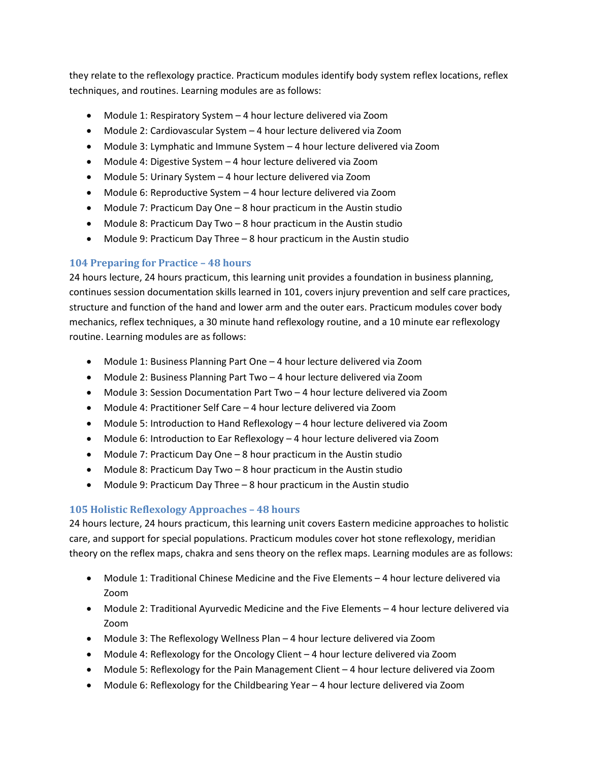they relate to the reflexology practice. Practicum modules identify body system reflex locations, reflex techniques, and routines. Learning modules are as follows:

- Module 1: Respiratory System 4 hour lecture delivered via Zoom
- Module 2: Cardiovascular System 4 hour lecture delivered via Zoom
- Module 3: Lymphatic and Immune System 4 hour lecture delivered via Zoom
- Module 4: Digestive System 4 hour lecture delivered via Zoom
- Module 5: Urinary System 4 hour lecture delivered via Zoom
- Module 6: Reproductive System 4 hour lecture delivered via Zoom
- Module 7: Practicum Day One 8 hour practicum in the Austin studio
- Module 8: Practicum Day Two 8 hour practicum in the Austin studio
- Module 9: Practicum Day Three 8 hour practicum in the Austin studio

#### 104 Preparing for Practice – 48 hours

24 hours lecture, 24 hours practicum, this learning unit provides a foundation in business planning, continues session documentation skills learned in 101, covers injury prevention and self care practices, structure and function of the hand and lower arm and the outer ears. Practicum modules cover body mechanics, reflex techniques, a 30 minute hand reflexology routine, and a 10 minute ear reflexology routine. Learning modules are as follows:

- Module 1: Business Planning Part One 4 hour lecture delivered via Zoom
- Module 2: Business Planning Part Two 4 hour lecture delivered via Zoom
- Module 3: Session Documentation Part Two 4 hour lecture delivered via Zoom
- Module 4: Practitioner Self Care 4 hour lecture delivered via Zoom
- Module 5: Introduction to Hand Reflexology 4 hour lecture delivered via Zoom
- Module 6: Introduction to Ear Reflexology 4 hour lecture delivered via Zoom
- Module 7: Practicum Day One 8 hour practicum in the Austin studio
- Module 8: Practicum Day Two 8 hour practicum in the Austin studio
- Module 9: Practicum Day Three 8 hour practicum in the Austin studio

#### 105 Holistic Reflexology Approaches – 48 hours

24 hours lecture, 24 hours practicum, this learning unit covers Eastern medicine approaches to holistic care, and support for special populations. Practicum modules cover hot stone reflexology, meridian theory on the reflex maps, chakra and sens theory on the reflex maps. Learning modules are as follows:

- Module 1: Traditional Chinese Medicine and the Five Elements 4 hour lecture delivered via Zoom
- Module 2: Traditional Ayurvedic Medicine and the Five Elements 4 hour lecture delivered via Zoom
- Module 3: The Reflexology Wellness Plan 4 hour lecture delivered via Zoom
- Module 4: Reflexology for the Oncology Client 4 hour lecture delivered via Zoom
- Module 5: Reflexology for the Pain Management Client 4 hour lecture delivered via Zoom
- Module 6: Reflexology for the Childbearing Year 4 hour lecture delivered via Zoom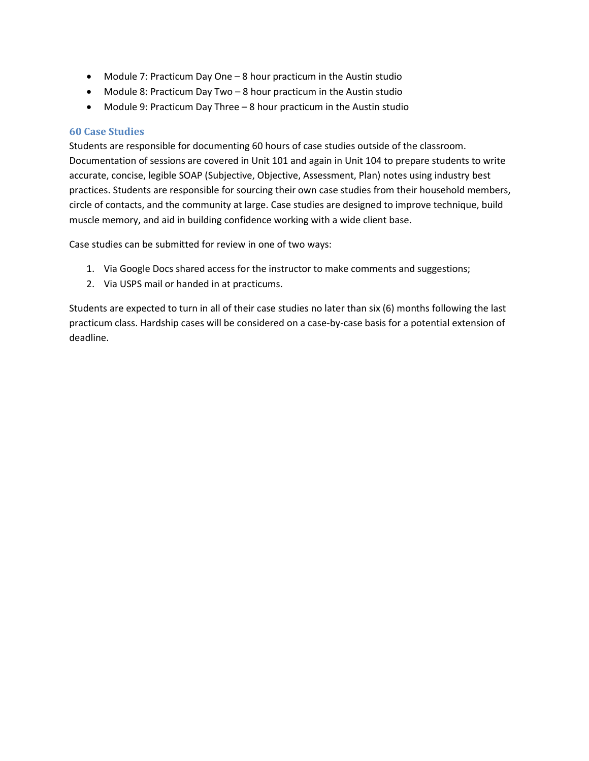- Module 7: Practicum Day One 8 hour practicum in the Austin studio
- Module 8: Practicum Day Two 8 hour practicum in the Austin studio
- Module 9: Practicum Day Three 8 hour practicum in the Austin studio

#### 60 Case Studies

Students are responsible for documenting 60 hours of case studies outside of the classroom. Documentation of sessions are covered in Unit 101 and again in Unit 104 to prepare students to write accurate, concise, legible SOAP (Subjective, Objective, Assessment, Plan) notes using industry best practices. Students are responsible for sourcing their own case studies from their household members, circle of contacts, and the community at large. Case studies are designed to improve technique, build muscle memory, and aid in building confidence working with a wide client base.

Case studies can be submitted for review in one of two ways:

- 1. Via Google Docs shared access for the instructor to make comments and suggestions;
- 2. Via USPS mail or handed in at practicums.

Students are expected to turn in all of their case studies no later than six (6) months following the last practicum class. Hardship cases will be considered on a case-by-case basis for a potential extension of deadline.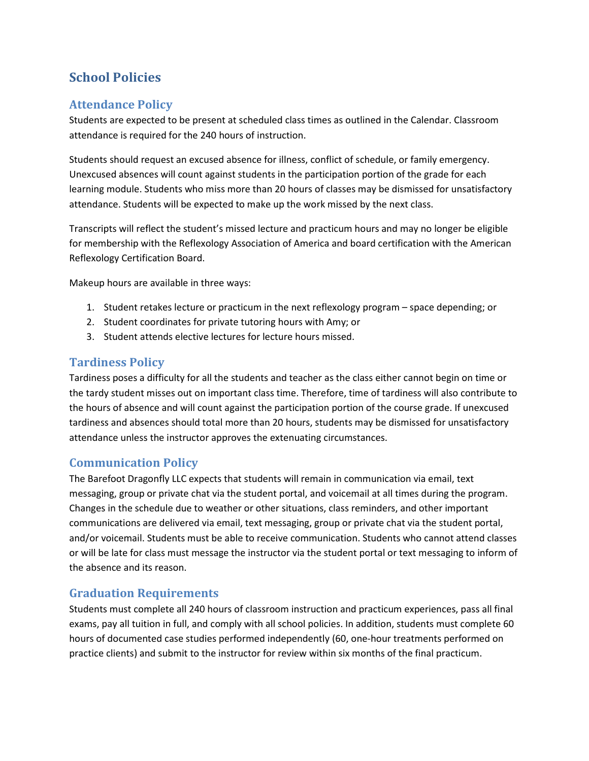# School Policies

# Attendance Policy

Students are expected to be present at scheduled class times as outlined in the Calendar. Classroom attendance is required for the 240 hours of instruction.

Students should request an excused absence for illness, conflict of schedule, or family emergency. Unexcused absences will count against students in the participation portion of the grade for each learning module. Students who miss more than 20 hours of classes may be dismissed for unsatisfactory attendance. Students will be expected to make up the work missed by the next class.

Transcripts will reflect the student's missed lecture and practicum hours and may no longer be eligible for membership with the Reflexology Association of America and board certification with the American Reflexology Certification Board.

Makeup hours are available in three ways:

- 1. Student retakes lecture or practicum in the next reflexology program space depending; or
- 2. Student coordinates for private tutoring hours with Amy; or
- 3. Student attends elective lectures for lecture hours missed.

### Tardiness Policy

Tardiness poses a difficulty for all the students and teacher as the class either cannot begin on time or the tardy student misses out on important class time. Therefore, time of tardiness will also contribute to the hours of absence and will count against the participation portion of the course grade. If unexcused tardiness and absences should total more than 20 hours, students may be dismissed for unsatisfactory attendance unless the instructor approves the extenuating circumstances.

### Communication Policy

The Barefoot Dragonfly LLC expects that students will remain in communication via email, text messaging, group or private chat via the student portal, and voicemail at all times during the program. Changes in the schedule due to weather or other situations, class reminders, and other important communications are delivered via email, text messaging, group or private chat via the student portal, and/or voicemail. Students must be able to receive communication. Students who cannot attend classes or will be late for class must message the instructor via the student portal or text messaging to inform of the absence and its reason.

## Graduation Requirements

Students must complete all 240 hours of classroom instruction and practicum experiences, pass all final exams, pay all tuition in full, and comply with all school policies. In addition, students must complete 60 hours of documented case studies performed independently (60, one-hour treatments performed on practice clients) and submit to the instructor for review within six months of the final practicum.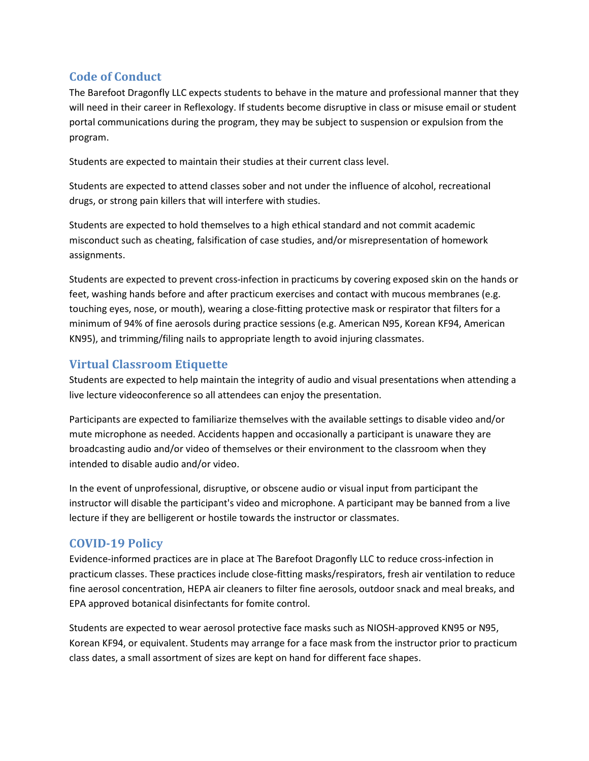# Code of Conduct

The Barefoot Dragonfly LLC expects students to behave in the mature and professional manner that they will need in their career in Reflexology. If students become disruptive in class or misuse email or student portal communications during the program, they may be subject to suspension or expulsion from the program.

Students are expected to maintain their studies at their current class level.

Students are expected to attend classes sober and not under the influence of alcohol, recreational drugs, or strong pain killers that will interfere with studies.

Students are expected to hold themselves to a high ethical standard and not commit academic misconduct such as cheating, falsification of case studies, and/or misrepresentation of homework assignments.

Students are expected to prevent cross-infection in practicums by covering exposed skin on the hands or feet, washing hands before and after practicum exercises and contact with mucous membranes (e.g. touching eyes, nose, or mouth), wearing a close-fitting protective mask or respirator that filters for a minimum of 94% of fine aerosols during practice sessions (e.g. American N95, Korean KF94, American KN95), and trimming/filing nails to appropriate length to avoid injuring classmates.

# Virtual Classroom Etiquette

Students are expected to help maintain the integrity of audio and visual presentations when attending a live lecture videoconference so all attendees can enjoy the presentation.

Participants are expected to familiarize themselves with the available settings to disable video and/or mute microphone as needed. Accidents happen and occasionally a participant is unaware they are broadcasting audio and/or video of themselves or their environment to the classroom when they intended to disable audio and/or video.

In the event of unprofessional, disruptive, or obscene audio or visual input from participant the instructor will disable the participant's video and microphone. A participant may be banned from a live lecture if they are belligerent or hostile towards the instructor or classmates.

# COVID-19 Policy

Evidence-informed practices are in place at The Barefoot Dragonfly LLC to reduce cross-infection in practicum classes. These practices include close-fitting masks/respirators, fresh air ventilation to reduce fine aerosol concentration, HEPA air cleaners to filter fine aerosols, outdoor snack and meal breaks, and EPA approved botanical disinfectants for fomite control.

Students are expected to wear aerosol protective face masks such as NIOSH-approved KN95 or N95, Korean KF94, or equivalent. Students may arrange for a face mask from the instructor prior to practicum class dates, a small assortment of sizes are kept on hand for different face shapes.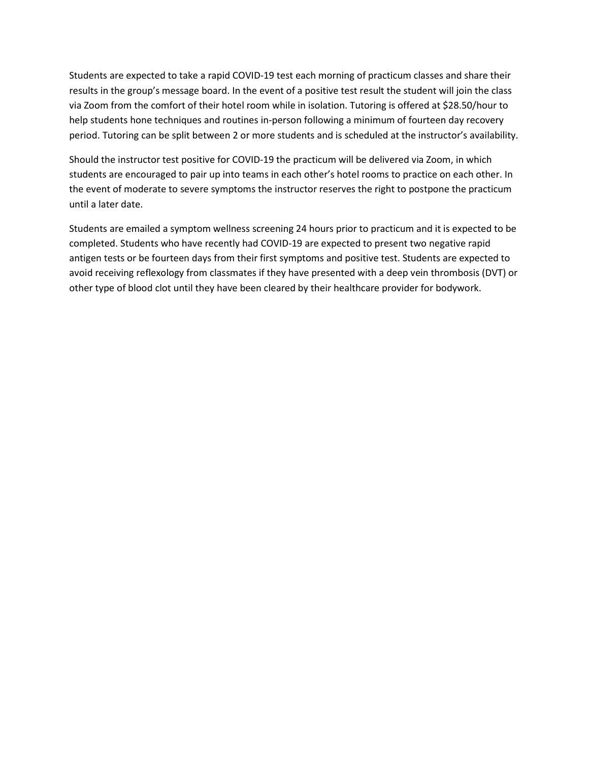Students are expected to take a rapid COVID-19 test each morning of practicum classes and share their results in the group's message board. In the event of a positive test result the student will join the class via Zoom from the comfort of their hotel room while in isolation. Tutoring is offered at \$28.50/hour to help students hone techniques and routines in-person following a minimum of fourteen day recovery period. Tutoring can be split between 2 or more students and is scheduled at the instructor's availability.

Should the instructor test positive for COVID-19 the practicum will be delivered via Zoom, in which students are encouraged to pair up into teams in each other's hotel rooms to practice on each other. In the event of moderate to severe symptoms the instructor reserves the right to postpone the practicum until a later date.

Students are emailed a symptom wellness screening 24 hours prior to practicum and it is expected to be completed. Students who have recently had COVID-19 are expected to present two negative rapid antigen tests or be fourteen days from their first symptoms and positive test. Students are expected to avoid receiving reflexology from classmates if they have presented with a deep vein thrombosis (DVT) or other type of blood clot until they have been cleared by their healthcare provider for bodywork.